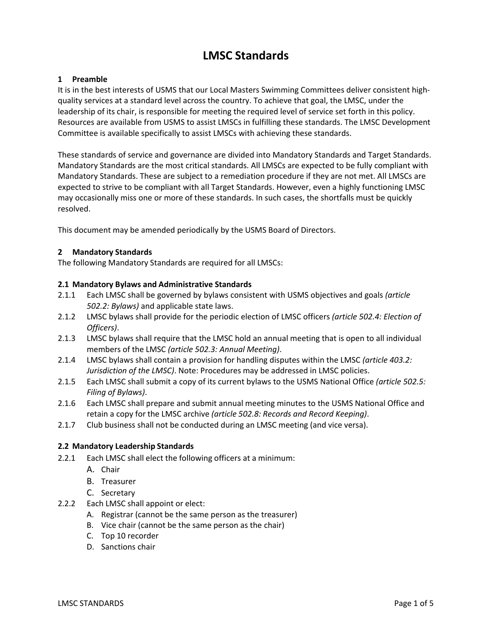# **LMSC Standards**

# **1 Preamble**

It is in the best interests of USMS that our Local Masters Swimming Committees deliver consistent highquality services at a standard level across the country. To achieve that goal, the LMSC, under the leadership of its chair, is responsible for meeting the required level of service set forth in this policy. Resources are available from USMS to assist LMSCs in fulfilling these standards. The LMSC Development Committee is available specifically to assist LMSCs with achieving these standards.

These standards of service and governance are divided into Mandatory Standards and Target Standards. Mandatory Standards are the most critical standards. All LMSCs are expected to be fully compliant with Mandatory Standards. These are subject to a remediation procedure if they are not met. All LMSCs are expected to strive to be compliant with all Target Standards. However, even a highly functioning LMSC may occasionally miss one or more of these standards. In such cases, the shortfalls must be quickly resolved.

This document may be amended periodically by the USMS Board of Directors.

# **2 Mandatory Standards**

The following Mandatory Standards are required for all LMSCs:

# **2.1 Mandatory Bylaws and Administrative Standards**

- 2.1.1 Each LMSC shall be governed by bylaws consistent with USMS objectives and goals *(article 502.2: Bylaws)* and applicable state laws.
- 2.1.2 LMSC bylaws shall provide for the periodic election of LMSC officers *(article 502.4: Election of Officers)*.
- 2.1.3 LMSC bylaws shall require that the LMSC hold an annual meeting that is open to all individual members of the LMSC *(article 502.3: Annual Meeting)*.
- 2.1.4 LMSC bylaws shall contain a provision for handling disputes within the LMSC *(article 403.2: Jurisdiction of the LMSC)*. Note: Procedures may be addressed in LMSC policies.
- 2.1.5 Each LMSC shall submit a copy of its current bylaws to the USMS National Office *(article 502.5: Filing of Bylaws)*.
- 2.1.6 Each LMSC shall prepare and submit annual meeting minutes to the USMS National Office and retain a copy for the LMSC archive *(article 502.8: Records and Record Keeping)*.
- 2.1.7 Club business shall not be conducted during an LMSC meeting (and vice versa).

# **2.2 Mandatory Leadership Standards**

- 2.2.1 Each LMSC shall elect the following officers at a minimum:
	- A. Chair
	- B. Treasurer
	- C. Secretary
- 2.2.2 Each LMSC shall appoint or elect:
	- A. Registrar (cannot be the same person as the treasurer)
	- B. Vice chair (cannot be the same person as the chair)
	- C. Top 10 recorder
	- D. Sanctions chair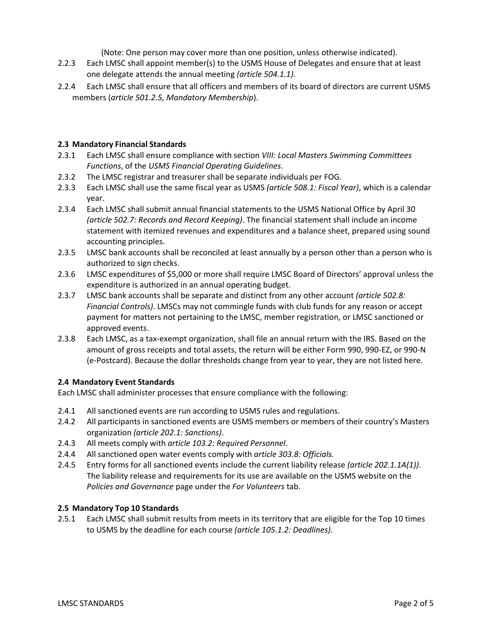(Note: One person may cover more than one position, unless otherwise indicated).

- 2.2.3 Each LMSC shall appoint member(s) to the USMS House of Delegates and ensure that at least one delegate attends the annual meeting *(article 504.1.1)*.
- 2.2.4 Each LMSC shall ensure that all officers and members of its board of directors are current USMS members (*article 501.2.5, Mandatory Membership*).

#### **2.3 Mandatory Financial Standards**

- 2.3.1 Each LMSC shall ensure compliance with section *VIII: Local Masters Swimming Committees Functions*, of the *USMS Financial Operating Guidelines*.
- 2.3.2 The LMSC registrar and treasurer shall be separate individuals per FOG.
- 2.3.3 Each LMSC shall use the same fiscal year as USMS *(article 508.1: Fiscal Year)*, which is a calendar year.
- 2.3.4 Each LMSC shall submit annual financial statements to the USMS National Office by April 30 *(article 502.7: Records and Record Keeping)*. The financial statement shall include an income statement with itemized revenues and expenditures and a balance sheet, prepared using sound accounting principles.
- 2.3.5 LMSC bank accounts shall be reconciled at least annually by a person other than a person who is authorized to sign checks.
- 2.3.6 LMSC expenditures of \$5,000 or more shall require LMSC Board of Directors' approval unless the expenditure is authorized in an annual operating budget.
- 2.3.7 LMSC bank accounts shall be separate and distinct from any other account *(article 502.8: Financial Controls)*. LMSCs may not commingle funds with club funds for any reason or accept payment for matters not pertaining to the LMSC, member registration, or LMSC sanctioned or approved events.
- 2.3.8 Each LMSC, as a tax-exempt organization, shall file an annual return with the IRS. Based on the amount of gross receipts and total assets, the return will be either Form 990, 990-EZ, or 990-N (e-Postcard). Because the dollar thresholds change from year to year, they are not listed here.

# **2.4 Mandatory Event Standards**

Each LMSC shall administer processes that ensure compliance with the following:

- 2.4.1 All sanctioned events are run according to USMS rules and regulations.
- 2.4.2 All participants in sanctioned events are USMS members or members of their country's Masters organization *(article 202.1: Sanctions)*.
- 2.4.3 All meets comply with *article 103.2: Required Personnel*.
- 2.4.4 All sanctioned open water events comply with *article 303.8: Officials.*
- 2.4.5 Entry forms for all sanctioned events include the current liability release *(article 202.1.1A(1))*. The liability release and requirements for its use are available on the USMS website on the *Policies and Governance* page under the *For Volunteers* tab.

#### **2.5 Mandatory Top 10 Standards**

2.5.1 Each LMSC shall submit results from meets in its territory that are eligible for the Top 10 times to USMS by the deadline for each course *(article 105.1.2: Deadlines)*.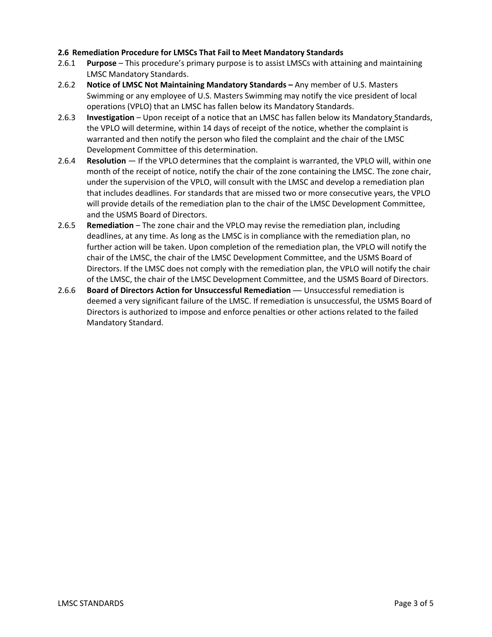# **2.6 Remediation Procedure for LMSCs That Fail to Meet Mandatory Standards**

- 2.6.1 **Purpose**  This procedure's primary purpose is to assist LMSCs with attaining and maintaining LMSC Mandatory Standards.
- 2.6.2 **Notice of LMSC Not Maintaining Mandatory Standards –** Any member of U.S. Masters Swimming or any employee of U.S. Masters Swimming may notify the vice president of local operations (VPLO) that an LMSC has fallen below its Mandatory Standards.
- 2.6.3 **Investigation**  Upon receipt of a notice that an LMSC has fallen below its Mandatory Standards, the VPLO will determine, within 14 days of receipt of the notice, whether the complaint is warranted and then notify the person who filed the complaint and the chair of the LMSC Development Committee of this determination.
- 2.6.4 **Resolution**  If the VPLO determines that the complaint is warranted, the VPLO will, within one month of the receipt of notice, notify the chair of the zone containing the LMSC. The zone chair, under the supervision of the VPLO, will consult with the LMSC and develop a remediation plan that includes deadlines. For standards that are missed two or more consecutive years, the VPLO will provide details of the remediation plan to the chair of the LMSC Development Committee, and the USMS Board of Directors.
- 2.6.5 **Remediation**  The zone chair and the VPLO may revise the remediation plan, including deadlines, at any time. As long as the LMSC is in compliance with the remediation plan, no further action will be taken. Upon completion of the remediation plan, the VPLO will notify the chair of the LMSC, the chair of the LMSC Development Committee, and the USMS Board of Directors. If the LMSC does not comply with the remediation plan, the VPLO will notify the chair of the LMSC, the chair of the LMSC Development Committee, and the USMS Board of Directors.
- 2.6.6 **Board of Directors Action for Unsuccessful Remediation** Unsuccessful remediation is deemed a very significant failure of the LMSC. If remediation is unsuccessful, the USMS Board of Directors is authorized to impose and enforce penalties or other actions related to the failed Mandatory Standard.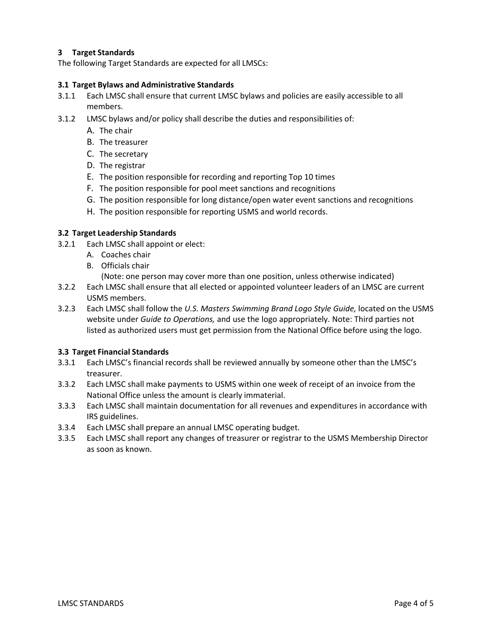# **3 Target Standards**

The following Target Standards are expected for all LMSCs:

#### **3.1 Target Bylaws and Administrative Standards**

- 3.1.1 Each LMSC shall ensure that current LMSC bylaws and policies are easily accessible to all members.
- 3.1.2 LMSC bylaws and/or policy shall describe the duties and responsibilities of:
	- A. The chair
	- B. The treasurer
	- C. The secretary
	- D. The registrar
	- E. The position responsible for recording and reporting Top 10 times
	- F. The position responsible for pool meet sanctions and recognitions
	- G. The position responsible for long distance/open water event sanctions and recognitions
	- H. The position responsible for reporting USMS and world records.

# **3.2 Target Leadership Standards**

- 3.2.1 Each LMSC shall appoint or elect:
	- A. Coaches chair
	- B. Officials chair
		- (Note: one person may cover more than one position, unless otherwise indicated)
- 3.2.2 Each LMSC shall ensure that all elected or appointed volunteer leaders of an LMSC are current USMS members.
- 3.2.3 Each LMSC shall follow the *U.S. Masters Swimming Brand Logo Style Guide,* located on the USMS website under *Guide to Operations,* and use the logo appropriately. Note: Third parties not listed as authorized users must get permission from the National Office before using the logo.

# **3.3 Target Financial Standards**

- 3.3.1 Each LMSC's financial records shall be reviewed annually by someone other than the LMSC's treasurer.
- 3.3.2 Each LMSC shall make payments to USMS within one week of receipt of an invoice from the National Office unless the amount is clearly immaterial.
- 3.3.3 Each LMSC shall maintain documentation for all revenues and expenditures in accordance with IRS guidelines.
- 3.3.4 Each LMSC shall prepare an annual LMSC operating budget.
- 3.3.5 Each LMSC shall report any changes of treasurer or registrar to the USMS Membership Director as soon as known.